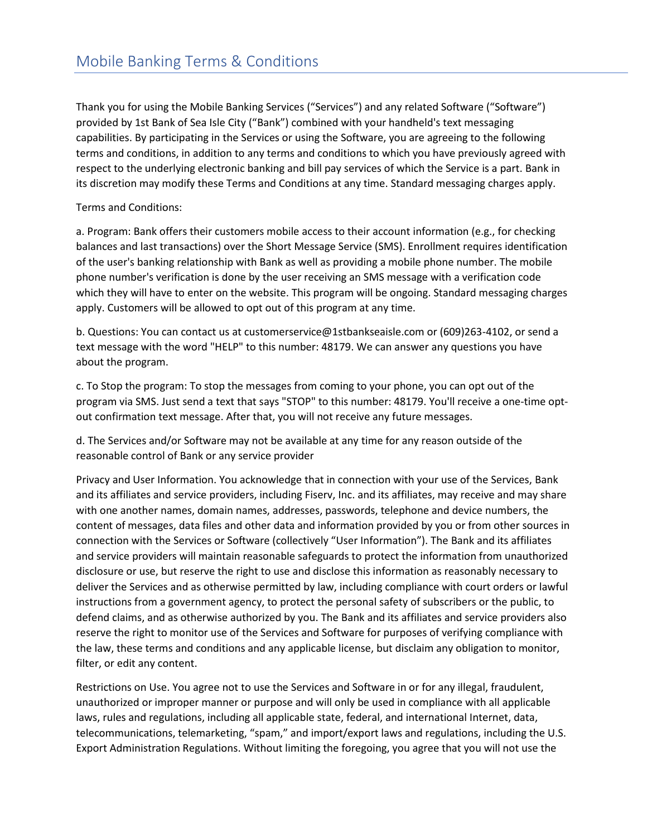Thank you for using the Mobile Banking Services ("Services") and any related Software ("Software") provided by 1st Bank of Sea Isle City ("Bank") combined with your handheld's text messaging capabilities. By participating in the Services or using the Software, you are agreeing to the following terms and conditions, in addition to any terms and conditions to which you have previously agreed with respect to the underlying electronic banking and bill pay services of which the Service is a part. Bank in its discretion may modify these Terms and Conditions at any time. Standard messaging charges apply.

Terms and Conditions:

a. Program: Bank offers their customers mobile access to their account information (e.g., for checking balances and last transactions) over the Short Message Service (SMS). Enrollment requires identification of the user's banking relationship with Bank as well as providing a mobile phone number. The mobile phone number's verification is done by the user receiving an SMS message with a verification code which they will have to enter on the website. This program will be ongoing. Standard messaging charges apply. Customers will be allowed to opt out of this program at any time.

b. Questions: You can contact us at customerservice@1stbankseaisle.com or (609)263-4102, or send a text message with the word "HELP" to this number: 48179. We can answer any questions you have about the program.

c. To Stop the program: To stop the messages from coming to your phone, you can opt out of the program via SMS. Just send a text that says "STOP" to this number: 48179. You'll receive a one-time optout confirmation text message. After that, you will not receive any future messages.

d. The Services and/or Software may not be available at any time for any reason outside of the reasonable control of Bank or any service provider

Privacy and User Information. You acknowledge that in connection with your use of the Services, Bank and its affiliates and service providers, including Fiserv, Inc. and its affiliates, may receive and may share with one another names, domain names, addresses, passwords, telephone and device numbers, the content of messages, data files and other data and information provided by you or from other sources in connection with the Services or Software (collectively "User Information"). The Bank and its affiliates and service providers will maintain reasonable safeguards to protect the information from unauthorized disclosure or use, but reserve the right to use and disclose this information as reasonably necessary to deliver the Services and as otherwise permitted by law, including compliance with court orders or lawful instructions from a government agency, to protect the personal safety of subscribers or the public, to defend claims, and as otherwise authorized by you. The Bank and its affiliates and service providers also reserve the right to monitor use of the Services and Software for purposes of verifying compliance with the law, these terms and conditions and any applicable license, but disclaim any obligation to monitor, filter, or edit any content.

Restrictions on Use. You agree not to use the Services and Software in or for any illegal, fraudulent, unauthorized or improper manner or purpose and will only be used in compliance with all applicable laws, rules and regulations, including all applicable state, federal, and international Internet, data, telecommunications, telemarketing, "spam," and import/export laws and regulations, including the U.S. Export Administration Regulations. Without limiting the foregoing, you agree that you will not use the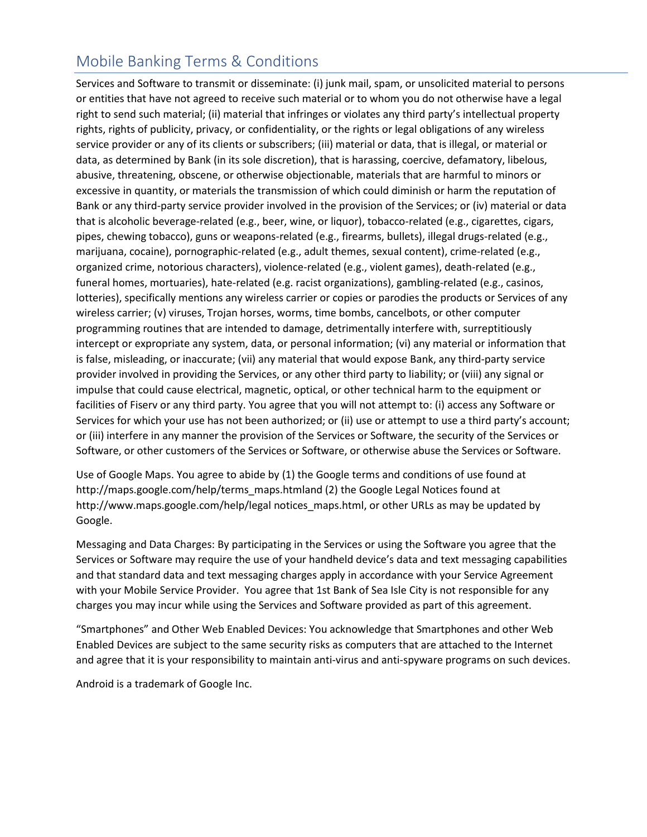Services and Software to transmit or disseminate: (i) junk mail, spam, or unsolicited material to persons or entities that have not agreed to receive such material or to whom you do not otherwise have a legal right to send such material; (ii) material that infringes or violates any third party's intellectual property rights, rights of publicity, privacy, or confidentiality, or the rights or legal obligations of any wireless service provider or any of its clients or subscribers; (iii) material or data, that is illegal, or material or data, as determined by Bank (in its sole discretion), that is harassing, coercive, defamatory, libelous, abusive, threatening, obscene, or otherwise objectionable, materials that are harmful to minors or excessive in quantity, or materials the transmission of which could diminish or harm the reputation of Bank or any third-party service provider involved in the provision of the Services; or (iv) material or data that is alcoholic beverage-related (e.g., beer, wine, or liquor), tobacco-related (e.g., cigarettes, cigars, pipes, chewing tobacco), guns or weapons-related (e.g., firearms, bullets), illegal drugs-related (e.g., marijuana, cocaine), pornographic-related (e.g., adult themes, sexual content), crime-related (e.g., organized crime, notorious characters), violence-related (e.g., violent games), death-related (e.g., funeral homes, mortuaries), hate-related (e.g. racist organizations), gambling-related (e.g., casinos, lotteries), specifically mentions any wireless carrier or copies or parodies the products or Services of any wireless carrier; (v) viruses, Trojan horses, worms, time bombs, cancelbots, or other computer programming routines that are intended to damage, detrimentally interfere with, surreptitiously intercept or expropriate any system, data, or personal information; (vi) any material or information that is false, misleading, or inaccurate; (vii) any material that would expose Bank, any third-party service provider involved in providing the Services, or any other third party to liability; or (viii) any signal or impulse that could cause electrical, magnetic, optical, or other technical harm to the equipment or facilities of Fiserv or any third party. You agree that you will not attempt to: (i) access any Software or Services for which your use has not been authorized; or (ii) use or attempt to use a third party's account; or (iii) interfere in any manner the provision of the Services or Software, the security of the Services or Software, or other customers of the Services or Software, or otherwise abuse the Services or Software.

Use of Google Maps. You agree to abide by (1) the Google terms and conditions of use found at http://maps.google.com/help/terms\_maps.htmland (2) the Google Legal Notices found at http://www.maps.google.com/help/legal notices\_maps.html, or other URLs as may be updated by Google.

Messaging and Data Charges: By participating in the Services or using the Software you agree that the Services or Software may require the use of your handheld device's data and text messaging capabilities and that standard data and text messaging charges apply in accordance with your Service Agreement with your Mobile Service Provider. You agree that 1st Bank of Sea Isle City is not responsible for any charges you may incur while using the Services and Software provided as part of this agreement.

"Smartphones" and Other Web Enabled Devices: You acknowledge that Smartphones and other Web Enabled Devices are subject to the same security risks as computers that are attached to the Internet and agree that it is your responsibility to maintain anti-virus and anti-spyware programs on such devices.

Android is a trademark of Google Inc.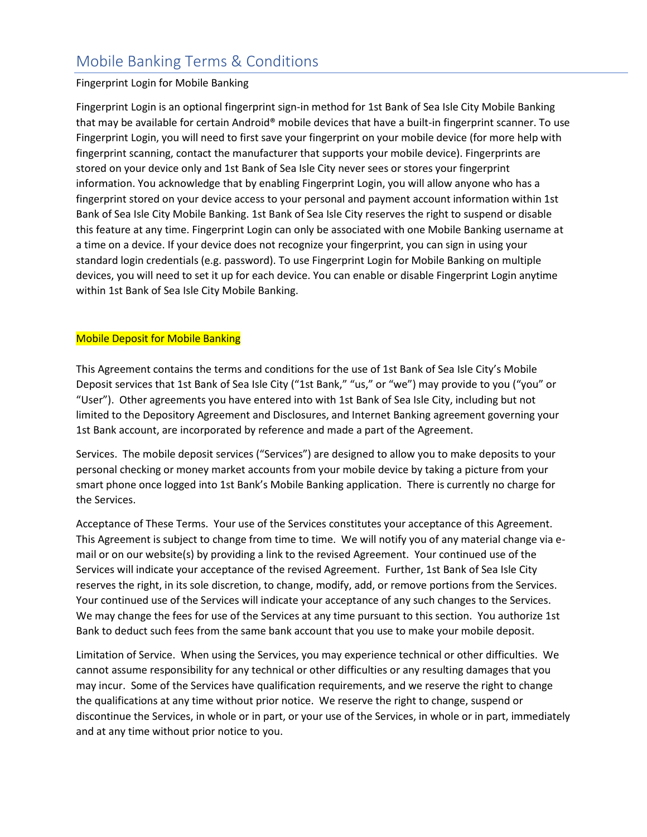#### Fingerprint Login for Mobile Banking

Fingerprint Login is an optional fingerprint sign-in method for 1st Bank of Sea Isle City Mobile Banking that may be available for certain Android® mobile devices that have a built-in fingerprint scanner. To use Fingerprint Login, you will need to first save your fingerprint on your mobile device (for more help with fingerprint scanning, contact the manufacturer that supports your mobile device). Fingerprints are stored on your device only and 1st Bank of Sea Isle City never sees or stores your fingerprint information. You acknowledge that by enabling Fingerprint Login, you will allow anyone who has a fingerprint stored on your device access to your personal and payment account information within 1st Bank of Sea Isle City Mobile Banking. 1st Bank of Sea Isle City reserves the right to suspend or disable this feature at any time. Fingerprint Login can only be associated with one Mobile Banking username at a time on a device. If your device does not recognize your fingerprint, you can sign in using your standard login credentials (e.g. password). To use Fingerprint Login for Mobile Banking on multiple devices, you will need to set it up for each device. You can enable or disable Fingerprint Login anytime within 1st Bank of Sea Isle City Mobile Banking.

#### Mobile Deposit for Mobile Banking

This Agreement contains the terms and conditions for the use of 1st Bank of Sea Isle City's Mobile Deposit services that 1st Bank of Sea Isle City ("1st Bank," "us," or "we") may provide to you ("you" or "User"). Other agreements you have entered into with 1st Bank of Sea Isle City, including but not limited to the Depository Agreement and Disclosures, and Internet Banking agreement governing your 1st Bank account, are incorporated by reference and made a part of the Agreement.

Services. The mobile deposit services ("Services") are designed to allow you to make deposits to your personal checking or money market accounts from your mobile device by taking a picture from your smart phone once logged into 1st Bank's Mobile Banking application. There is currently no charge for the Services.

Acceptance of These Terms. Your use of the Services constitutes your acceptance of this Agreement. This Agreement is subject to change from time to time. We will notify you of any material change via email or on our website(s) by providing a link to the revised Agreement. Your continued use of the Services will indicate your acceptance of the revised Agreement. Further, 1st Bank of Sea Isle City reserves the right, in its sole discretion, to change, modify, add, or remove portions from the Services. Your continued use of the Services will indicate your acceptance of any such changes to the Services. We may change the fees for use of the Services at any time pursuant to this section. You authorize 1st Bank to deduct such fees from the same bank account that you use to make your mobile deposit.

Limitation of Service. When using the Services, you may experience technical or other difficulties. We cannot assume responsibility for any technical or other difficulties or any resulting damages that you may incur. Some of the Services have qualification requirements, and we reserve the right to change the qualifications at any time without prior notice. We reserve the right to change, suspend or discontinue the Services, in whole or in part, or your use of the Services, in whole or in part, immediately and at any time without prior notice to you.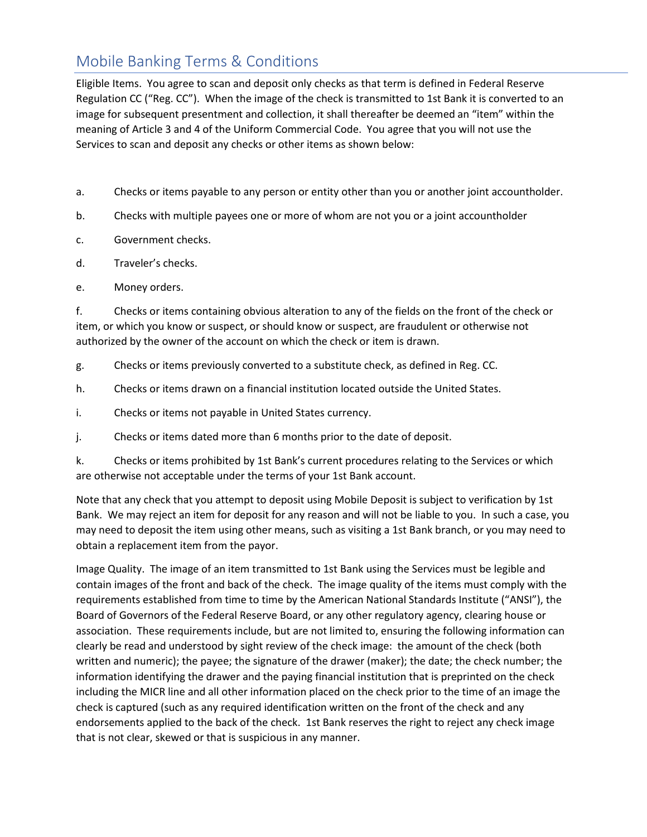Eligible Items. You agree to scan and deposit only checks as that term is defined in Federal Reserve Regulation CC ("Reg. CC"). When the image of the check is transmitted to 1st Bank it is converted to an image for subsequent presentment and collection, it shall thereafter be deemed an "item" within the meaning of Article 3 and 4 of the Uniform Commercial Code. You agree that you will not use the Services to scan and deposit any checks or other items as shown below:

- a. Checks or items payable to any person or entity other than you or another joint accountholder.
- b. Checks with multiple payees one or more of whom are not you or a joint accountholder
- c. Government checks.
- d. Traveler's checks.
- e. Money orders.

f. Checks or items containing obvious alteration to any of the fields on the front of the check or item, or which you know or suspect, or should know or suspect, are fraudulent or otherwise not authorized by the owner of the account on which the check or item is drawn.

- g. Checks or items previously converted to a substitute check, as defined in Reg. CC.
- h. Checks or items drawn on a financial institution located outside the United States.
- i. Checks or items not payable in United States currency.
- j. Checks or items dated more than 6 months prior to the date of deposit.

k. Checks or items prohibited by 1st Bank's current procedures relating to the Services or which are otherwise not acceptable under the terms of your 1st Bank account.

Note that any check that you attempt to deposit using Mobile Deposit is subject to verification by 1st Bank. We may reject an item for deposit for any reason and will not be liable to you. In such a case, you may need to deposit the item using other means, such as visiting a 1st Bank branch, or you may need to obtain a replacement item from the payor.

Image Quality. The image of an item transmitted to 1st Bank using the Services must be legible and contain images of the front and back of the check. The image quality of the items must comply with the requirements established from time to time by the American National Standards Institute ("ANSI"), the Board of Governors of the Federal Reserve Board, or any other regulatory agency, clearing house or association. These requirements include, but are not limited to, ensuring the following information can clearly be read and understood by sight review of the check image: the amount of the check (both written and numeric); the payee; the signature of the drawer (maker); the date; the check number; the information identifying the drawer and the paying financial institution that is preprinted on the check including the MICR line and all other information placed on the check prior to the time of an image the check is captured (such as any required identification written on the front of the check and any endorsements applied to the back of the check. 1st Bank reserves the right to reject any check image that is not clear, skewed or that is suspicious in any manner.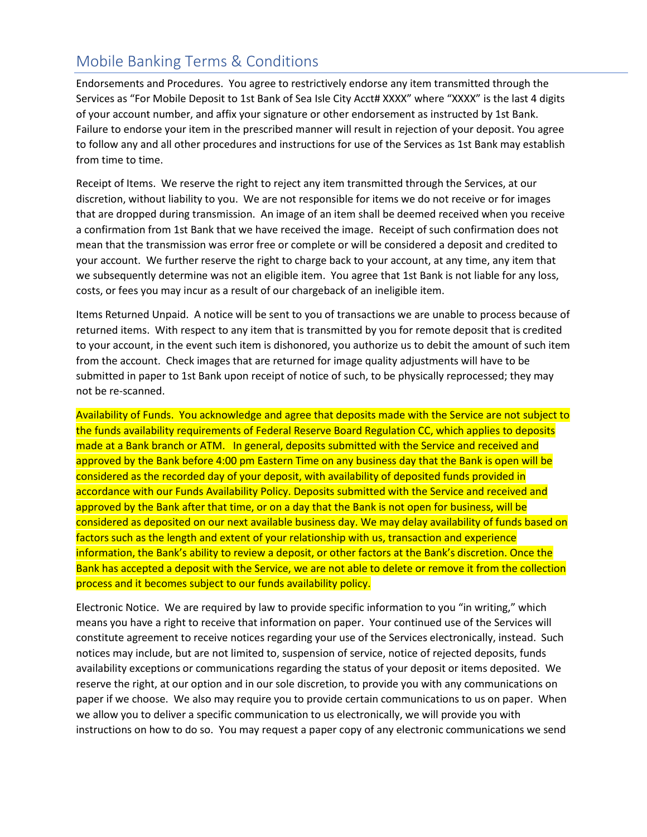Endorsements and Procedures. You agree to restrictively endorse any item transmitted through the Services as "For Mobile Deposit to 1st Bank of Sea Isle City Acct# XXXX" where "XXXX" is the last 4 digits of your account number, and affix your signature or other endorsement as instructed by 1st Bank. Failure to endorse your item in the prescribed manner will result in rejection of your deposit. You agree to follow any and all other procedures and instructions for use of the Services as 1st Bank may establish from time to time.

Receipt of Items. We reserve the right to reject any item transmitted through the Services, at our discretion, without liability to you. We are not responsible for items we do not receive or for images that are dropped during transmission. An image of an item shall be deemed received when you receive a confirmation from 1st Bank that we have received the image. Receipt of such confirmation does not mean that the transmission was error free or complete or will be considered a deposit and credited to your account. We further reserve the right to charge back to your account, at any time, any item that we subsequently determine was not an eligible item. You agree that 1st Bank is not liable for any loss, costs, or fees you may incur as a result of our chargeback of an ineligible item.

Items Returned Unpaid. A notice will be sent to you of transactions we are unable to process because of returned items. With respect to any item that is transmitted by you for remote deposit that is credited to your account, in the event such item is dishonored, you authorize us to debit the amount of such item from the account. Check images that are returned for image quality adjustments will have to be submitted in paper to 1st Bank upon receipt of notice of such, to be physically reprocessed; they may not be re-scanned.

Availability of Funds. You acknowledge and agree that deposits made with the Service are not subject to the funds availability requirements of Federal Reserve Board Regulation CC, which applies to deposits made at a Bank branch or ATM. In general, deposits submitted with the Service and received and approved by the Bank before 4:00 pm Eastern Time on any business day that the Bank is open will be considered as the recorded day of your deposit, with availability of deposited funds provided in accordance with our Funds Availability Policy. Deposits submitted with the Service and received and approved by the Bank after that time, or on a day that the Bank is not open for business, will be considered as deposited on our next available business day. We may delay availability of funds based on factors such as the length and extent of your relationship with us, transaction and experience information, the Bank's ability to review a deposit, or other factors at the Bank's discretion. Once the Bank has accepted a deposit with the Service, we are not able to delete or remove it from the collection process and it becomes subject to our funds availability policy.

Electronic Notice. We are required by law to provide specific information to you "in writing," which means you have a right to receive that information on paper. Your continued use of the Services will constitute agreement to receive notices regarding your use of the Services electronically, instead. Such notices may include, but are not limited to, suspension of service, notice of rejected deposits, funds availability exceptions or communications regarding the status of your deposit or items deposited. We reserve the right, at our option and in our sole discretion, to provide you with any communications on paper if we choose. We also may require you to provide certain communications to us on paper. When we allow you to deliver a specific communication to us electronically, we will provide you with instructions on how to do so. You may request a paper copy of any electronic communications we send